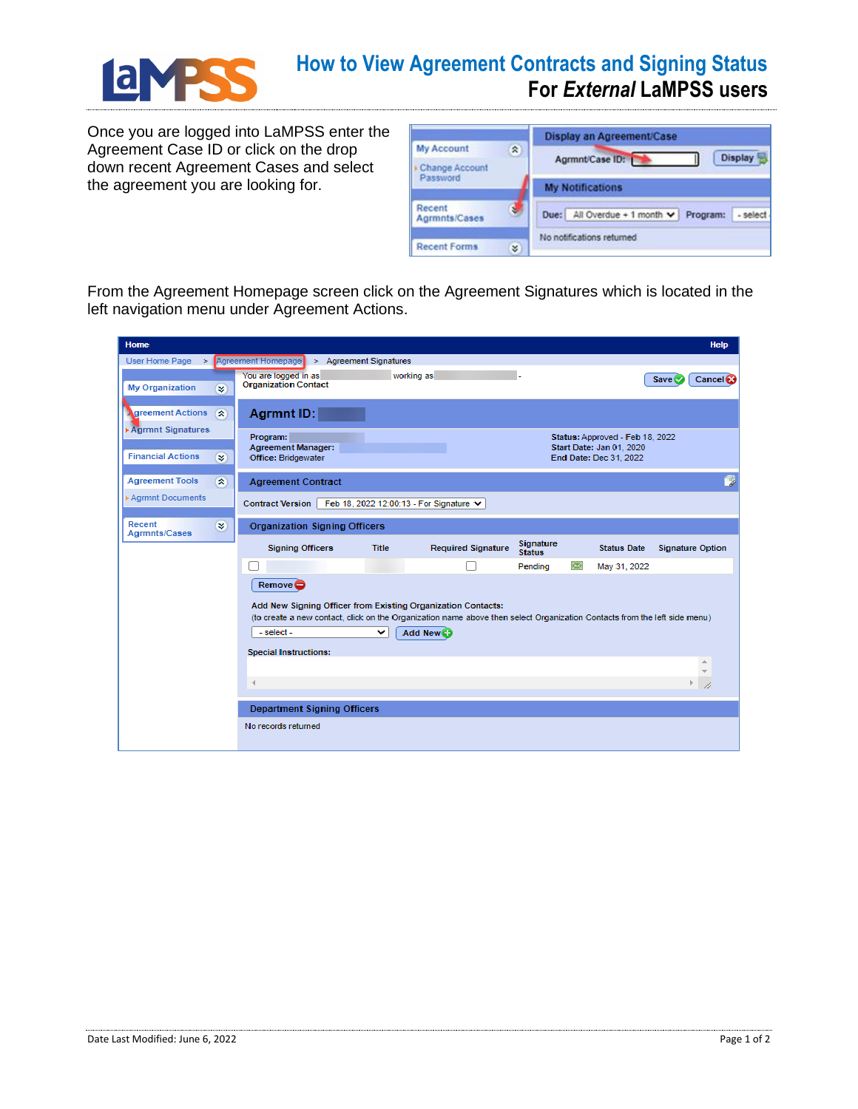

## **How to View Agreement Contracts and Signing Status For** *External* **LaMPSS users**

Once you are logged into LaMPSS enter the Agreement Case ID or click on the drop down recent Agreement Cases and select the agreement you are looking for.

|                         |    | Display an Agreement/Case                              |
|-------------------------|----|--------------------------------------------------------|
| <b>My Account</b>       | ×. | <b>Display</b>                                         |
| Change Account          |    | Agrmnt/Case ID: 1                                      |
| Password                |    | <b>My Notifications</b>                                |
| Recent<br>Agrmnts/Cases | ŧ. | Due: All Overdue + 1 month $\vee$ Program:<br>- select |
| <b>Recent Forms</b>     | ¥  | No notifications returned                              |

From the Agreement Homepage screen click on the Agreement Signatures which is located in the left navigation menu under Agreement Actions.

| <b>Home</b>                                       |                                                                                 | <b>Help</b>                                                                                                               |
|---------------------------------------------------|---------------------------------------------------------------------------------|---------------------------------------------------------------------------------------------------------------------------|
| User Home Page >                                  | Agreement Homepage > Agreement Signatures<br>You are logged in as<br>working as |                                                                                                                           |
| <b>My Organization</b><br>$\overline{\mathbf{x}}$ | <b>Organization Contact</b>                                                     | Save <sup>®</sup><br>Cancel &                                                                                             |
| 会<br>greement Actions<br>Agrmnt Signatures        | Agrmnt ID:                                                                      |                                                                                                                           |
| <b>Financial Actions</b><br>¥.                    | Program:<br><b>Agreement Manager:</b><br>Office: Bridgewater                    | Status: Approved - Feb 18, 2022<br>Start Date: Jan 01, 2020<br>End Date: Dec 31, 2022                                     |
| <b>Agreement Tools</b><br>会                       | <b>Agreement Contract</b>                                                       | Þ                                                                                                                         |
| Agrmnt Documents                                  | <b>Contract Version</b><br>Feb 18, 2022 12:00:13 - For Signature ↓              |                                                                                                                           |
| Recent<br>×.<br><b>Agrmnts/Cases</b>              | <b>Organization Signing Officers</b>                                            |                                                                                                                           |
|                                                   | <b>Required Signature</b><br><b>Signing Officers</b><br><b>Title</b>            | <b>Signature</b><br><b>Status Date</b><br><b>Signature Option</b><br><b>Status</b>                                        |
|                                                   |                                                                                 | Pending<br>May 31, 2022                                                                                                   |
|                                                   | Remove <sup>O</sup>                                                             |                                                                                                                           |
|                                                   | Add New Signing Officer from Existing Organization Contacts:                    |                                                                                                                           |
|                                                   | - select -<br>Add New<br>◡                                                      | (to create a new contact, click on the Organization name above then select Organization Contacts from the left side menu) |
|                                                   | <b>Special Instructions:</b>                                                    |                                                                                                                           |
|                                                   |                                                                                 |                                                                                                                           |
|                                                   | $\overline{4}$                                                                  |                                                                                                                           |
|                                                   | <b>Department Signing Officers</b>                                              |                                                                                                                           |
|                                                   |                                                                                 |                                                                                                                           |
|                                                   | No records returned                                                             |                                                                                                                           |